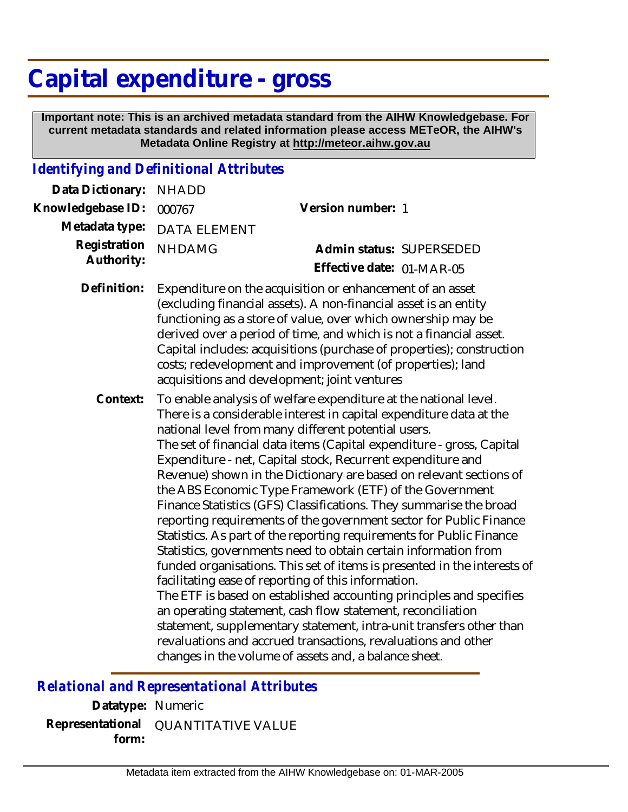## **Capital expenditure - gross**

 **Important note: This is an archived metadata standard from the AIHW Knowledgebase. For current metadata standards and related information please access METeOR, the AIHW's Metadata Online Registry at http://meteor.aihw.gov.au**

## *Identifying and Definitional Attributes*

| Data Dictionary:           | <b>NHADD</b>        |                                                                                                                                                                                                                                                                                                                                                                                                                                                                                                                                                                                                                                                                                                                                                                                                                                                                                                                                                                                                                                                                                                                                                                                                                                          |
|----------------------------|---------------------|------------------------------------------------------------------------------------------------------------------------------------------------------------------------------------------------------------------------------------------------------------------------------------------------------------------------------------------------------------------------------------------------------------------------------------------------------------------------------------------------------------------------------------------------------------------------------------------------------------------------------------------------------------------------------------------------------------------------------------------------------------------------------------------------------------------------------------------------------------------------------------------------------------------------------------------------------------------------------------------------------------------------------------------------------------------------------------------------------------------------------------------------------------------------------------------------------------------------------------------|
| Knowledgebase ID:          | 000767              | Version number: 1                                                                                                                                                                                                                                                                                                                                                                                                                                                                                                                                                                                                                                                                                                                                                                                                                                                                                                                                                                                                                                                                                                                                                                                                                        |
| Metadata type:             | <b>DATA ELEMENT</b> |                                                                                                                                                                                                                                                                                                                                                                                                                                                                                                                                                                                                                                                                                                                                                                                                                                                                                                                                                                                                                                                                                                                                                                                                                                          |
| Registration<br>Authority: | <b>NHDAMG</b>       | Admin status: SUPERSEDED                                                                                                                                                                                                                                                                                                                                                                                                                                                                                                                                                                                                                                                                                                                                                                                                                                                                                                                                                                                                                                                                                                                                                                                                                 |
|                            |                     | Effective date: 01-MAR-05                                                                                                                                                                                                                                                                                                                                                                                                                                                                                                                                                                                                                                                                                                                                                                                                                                                                                                                                                                                                                                                                                                                                                                                                                |
| Definition:                |                     | Expenditure on the acquisition or enhancement of an asset<br>(excluding financial assets). A non-financial asset is an entity<br>functioning as a store of value, over which ownership may be<br>derived over a period of time, and which is not a financial asset.<br>Capital includes: acquisitions (purchase of properties); construction<br>costs; redevelopment and improvement (of properties); land<br>acquisitions and development; joint ventures                                                                                                                                                                                                                                                                                                                                                                                                                                                                                                                                                                                                                                                                                                                                                                               |
| Context:                   |                     | To enable analysis of welfare expenditure at the national level.<br>There is a considerable interest in capital expenditure data at the<br>national level from many different potential users.<br>The set of financial data items (Capital expenditure - gross, Capital<br>Expenditure - net, Capital stock, Recurrent expenditure and<br>Revenue) shown in the Dictionary are based on relevant sections of<br>the ABS Economic Type Framework (ETF) of the Government<br>Finance Statistics (GFS) Classifications. They summarise the broad<br>reporting requirements of the government sector for Public Finance<br>Statistics. As part of the reporting requirements for Public Finance<br>Statistics, governments need to obtain certain information from<br>funded organisations. This set of items is presented in the interests of<br>facilitating ease of reporting of this information.<br>The ETF is based on established accounting principles and specifies<br>an operating statement, cash flow statement, reconciliation<br>statement, supplementary statement, intra-unit transfers other than<br>revaluations and accrued transactions, revaluations and other<br>changes in the volume of assets and, a balance sheet. |

*Relational and Representational Attributes*

**Datatype:** Numeric **Representational** QUANTITATIVE VALUE  **form:**